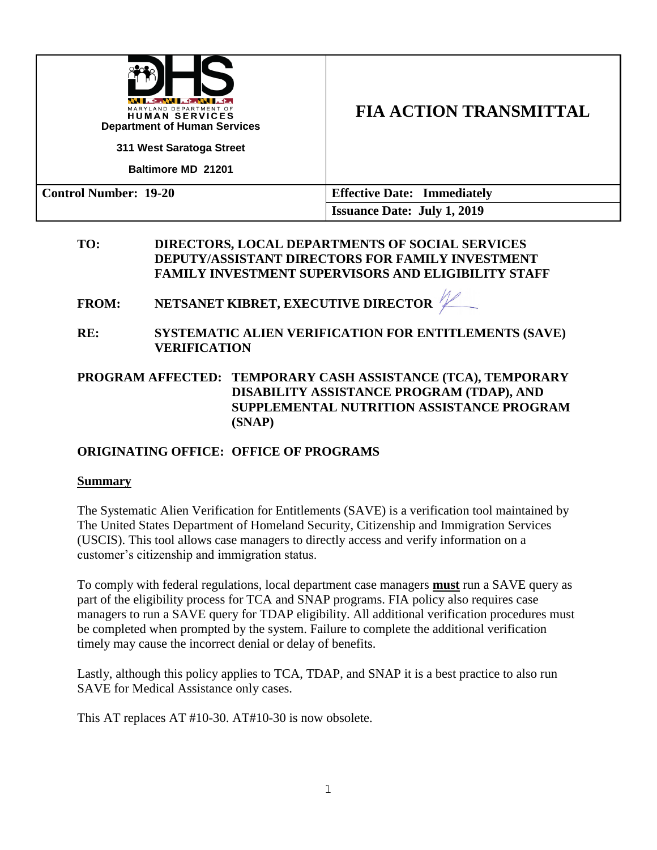| <b>LEAN LEAN LE</b><br>MARYLAND DEPARTMENT OF<br><b>HUMAN SERVICES</b><br><b>Department of Human Services</b><br>311 West Saratoga Street<br><b>Baltimore MD 21201</b> | <b>FIA ACTION TRANSMITTAL</b>      |
|------------------------------------------------------------------------------------------------------------------------------------------------------------------------|------------------------------------|
| <b>Control Number: 19-20</b>                                                                                                                                           | <b>Effective Date: Immediately</b> |
|                                                                                                                                                                        | <b>Issuance Date: July 1, 2019</b> |

#### **TO: DIRECTORS, LOCAL DEPARTMENTS OF SOCIAL SERVICES DEPUTY/ASSISTANT DIRECTORS FOR FAMILY INVESTMENT FAMILY INVESTMENT SUPERVISORS AND ELIGIBILITY STAFF**

**FROM: NETSANET KIBRET, EXECUTIVE DIRECTOR**

**RE: SYSTEMATIC ALIEN VERIFICATION FOR ENTITLEMENTS (SAVE) VERIFICATION**

**PROGRAM AFFECTED: TEMPORARY CASH ASSISTANCE (TCA), TEMPORARY DISABILITY ASSISTANCE PROGRAM (TDAP), AND SUPPLEMENTAL NUTRITION ASSISTANCE PROGRAM (SNAP)**

### **ORIGINATING OFFICE: OFFICE OF PROGRAMS**

#### **Summary**

The Systematic Alien Verification for Entitlements (SAVE) is a verification tool maintained by The United States Department of Homeland Security, Citizenship and Immigration Services (USCIS). This tool allows case managers to directly access and verify information on a customer's citizenship and immigration status.

To comply with federal regulations, local department case managers **must** run a SAVE query as part of the eligibility process for TCA and SNAP programs. FIA policy also requires case managers to run a SAVE query for TDAP eligibility. All additional verification procedures must be completed when prompted by the system. Failure to complete the additional verification timely may cause the incorrect denial or delay of benefits.

Lastly, although this policy applies to TCA, TDAP, and SNAP it is a best practice to also run SAVE for Medical Assistance only cases.

This AT replaces AT #10-30. AT#10-30 is now obsolete.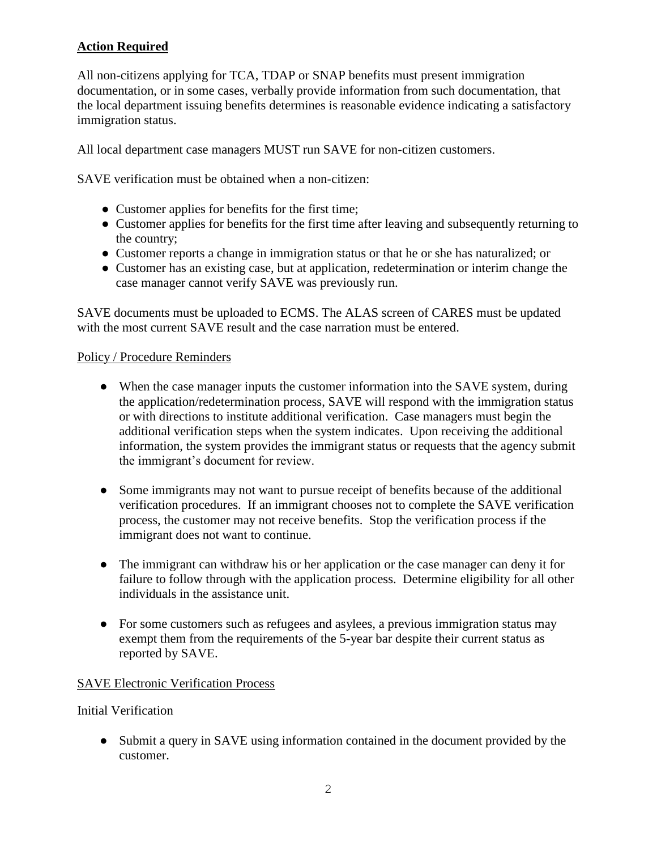# **Action Required**

All non-citizens applying for TCA, TDAP or SNAP benefits must present immigration documentation, or in some cases, verbally provide information from such documentation, that the local department issuing benefits determines is reasonable evidence indicating a satisfactory immigration status.

All local department case managers MUST run SAVE for non-citizen customers.

SAVE verification must be obtained when a non-citizen:

- Customer applies for benefits for the first time;
- Customer applies for benefits for the first time after leaving and subsequently returning to the country;
- Customer reports a change in immigration status or that he or she has naturalized; or
- Customer has an existing case, but at application, redetermination or interim change the case manager cannot verify SAVE was previously run.

SAVE documents must be uploaded to ECMS. The ALAS screen of CARES must be updated with the most current SAVE result and the case narration must be entered.

#### Policy / Procedure Reminders

- When the case manager inputs the customer information into the SAVE system, during the application/redetermination process, SAVE will respond with the immigration status or with directions to institute additional verification. Case managers must begin the additional verification steps when the system indicates. Upon receiving the additional information, the system provides the immigrant status or requests that the agency submit the immigrant's document for review.
- Some immigrants may not want to pursue receipt of benefits because of the additional verification procedures. If an immigrant chooses not to complete the SAVE verification process, the customer may not receive benefits. Stop the verification process if the immigrant does not want to continue.
- The immigrant can withdraw his or her application or the case manager can deny it for failure to follow through with the application process. Determine eligibility for all other individuals in the assistance unit.
- For some customers such as refugees and asylees, a previous immigration status may exempt them from the requirements of the 5-year bar despite their current status as reported by SAVE.

### SAVE Electronic Verification Process

Initial Verification

● Submit a query in SAVE using information contained in the document provided by the customer.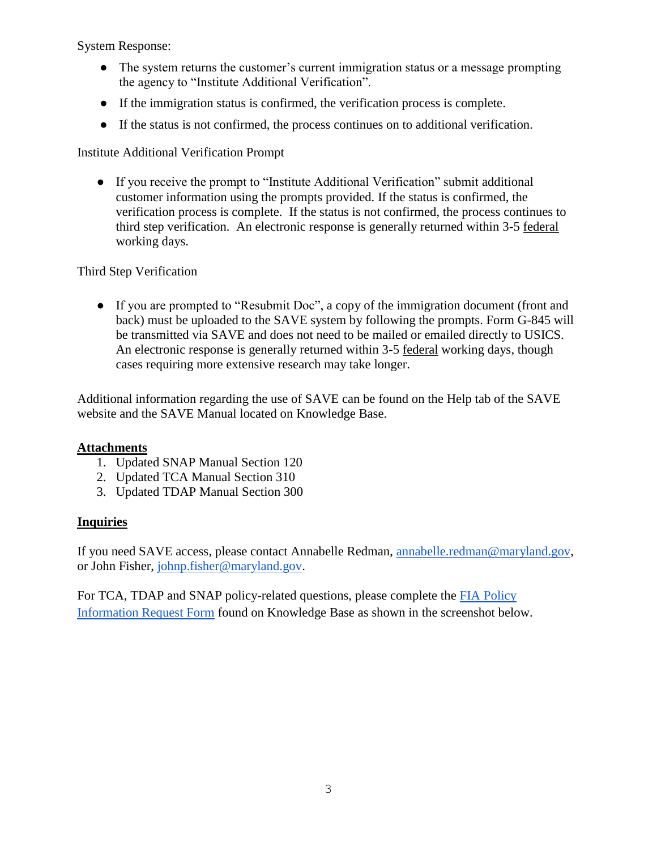System Response:

- The system returns the customer's current immigration status or a message prompting the agency to "Institute Additional Verification".
- If the immigration status is confirmed, the verification process is complete.
- If the status is not confirmed, the process continues on to additional verification.

Institute Additional Verification Prompt

● If you receive the prompt to "Institute Additional Verification" submit additional customer information using the prompts provided. If the status is confirmed, the verification process is complete. If the status is not confirmed, the process continues to third step verification. An electronic response is generally returned within 3-5 federal working days.

## Third Step Verification

● If you are prompted to "Resubmit Doc", a copy of the immigration document (front and back) must be uploaded to the SAVE system by following the prompts. Form G-845 will be transmitted via SAVE and does not need to be mailed or emailed directly to USICS. An electronic response is generally returned within 3-5 federal working days, though cases requiring more extensive research may take longer.

Additional information regarding the use of SAVE can be found on the Help tab of the SAVE website and the SAVE Manual located on Knowledge Base.

### **Attachments**

- 1. Updated SNAP Manual Section 120
- 2. Updated TCA Manual Section 310
- 3. Updated TDAP Manual Section 300

### **Inquiries**

If you need SAVE access, please contact Annabelle Redman, [annabelle.redman@maryland.gov,](mailto:annabelle.redman@maryland.gov) or John Fisher, [johnp.fisher@maryland.gov.](mailto:johnp.fisher@maryland.gov)

For TCA, TDAP and SNAP policy-related questions, please complete the FIA Policy [Information Request Form](http://kb.dhs.maryland.gov/family-investment-administration/contact-us-with-your-fia-program-eligibility-policy-question/) found on Knowledge Base as shown in the screenshot below.